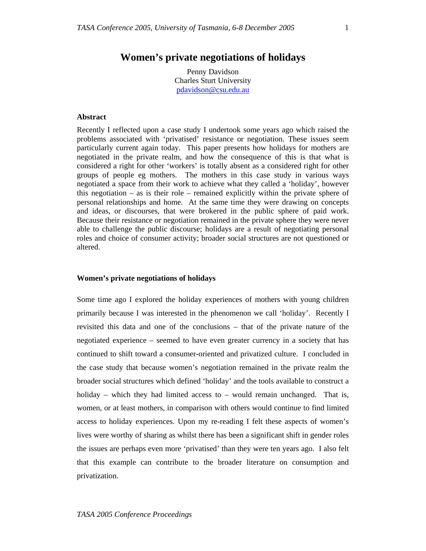# **Women's private negotiations of holidays**

Penny Davidson Charles Sturt University pdavidson@csu.edu.au

### **Abstract**

Recently I reflected upon a case study I undertook some years ago which raised the problems associated with 'privatised' resistance or negotiation. These issues seem particularly current again today. This paper presents how holidays for mothers are negotiated in the private realm, and how the consequence of this is that what is considered a right for other 'workers' is totally absent as a considered right for other groups of people eg mothers. The mothers in this case study in various ways negotiated a space from their work to achieve what they called a 'holiday', however this negotiation – as is their role – remained explicitly within the private sphere of personal relationships and home. At the same time they were drawing on concepts and ideas, or discourses, that were brokered in the public sphere of paid work. Because their resistance or negotiation remained in the private sphere they were never able to challenge the public discourse; holidays are a result of negotiating personal roles and choice of consumer activity; broader social structures are not questioned or altered.

#### **Women's private negotiations of holidays**

Some time ago I explored the holiday experiences of mothers with young children primarily because I was interested in the phenomenon we call 'holiday'. Recently I revisited this data and one of the conclusions – that of the private nature of the negotiated experience – seemed to have even greater currency in a society that has continued to shift toward a consumer-oriented and privatized culture. I concluded in the case study that because women's negotiation remained in the private realm the broader social structures which defined 'holiday' and the tools available to construct a holiday – which they had limited access to – would remain unchanged. That is, women, or at least mothers, in comparison with others would continue to find limited access to holiday experiences. Upon my re-reading I felt these aspects of women's lives were worthy of sharing as whilst there has been a significant shift in gender roles the issues are perhaps even more 'privatised' than they were ten years ago. I also felt that this example can contribute to the broader literature on consumption and privatization.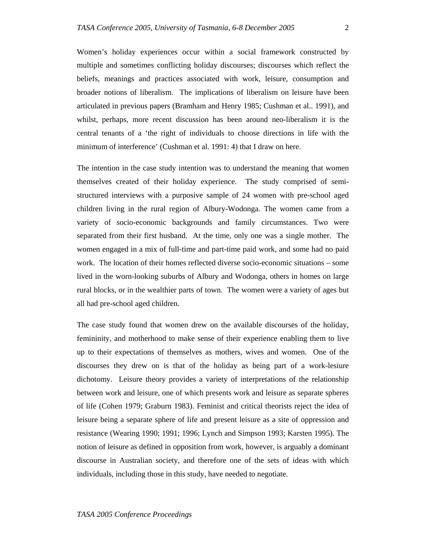Women's holiday experiences occur within a social framework constructed by multiple and sometimes conflicting holiday discourses; discourses which reflect the beliefs, meanings and practices associated with work, leisure, consumption and broader notions of liberalism. The implications of liberalism on leisure have been articulated in previous papers (Bramham and Henry 1985; Cushman et al.. 1991), and whilst, perhaps, more recent discussion has been around neo-liberalism it is the central tenants of a 'the right of individuals to choose directions in life with the minimum of interference' (Cushman et al. 1991: 4) that I draw on here.

The intention in the case study intention was to understand the meaning that women themselves created of their holiday experience. The study comprised of semistructured interviews with a purposive sample of 24 women with pre-school aged children living in the rural region of Albury-Wodonga. The women came from a variety of socio-economic backgrounds and family circumstances. Two were separated from their first husband. At the time, only one was a single mother. The women engaged in a mix of full-time and part-time paid work, and some had no paid work. The location of their homes reflected diverse socio-economic situations – some lived in the worn-looking suburbs of Albury and Wodonga, others in homes on large rural blocks, or in the wealthier parts of town. The women were a variety of ages but all had pre-school aged children.

The case study found that women drew on the available discourses of the holiday, femininity, and motherhood to make sense of their experience enabling them to live up to their expectations of themselves as mothers, wives and women. One of the discourses they drew on is that of the holiday as being part of a work-lesiure dichotomy. Leisure theory provides a variety of interpretations of the relationship between work and leisure, one of which presents work and leisure as separate spheres of life (Cohen 1979; Graburn 1983). Feminist and critical theorists reject the idea of leisure being a separate sphere of life and present leisure as a site of oppression and resistance (Wearing 1990; 1991; 1996; Lynch and Simpson 1993; Karsten 1995). The notion of leisure as defined in opposition from work, however, is arguably a dominant discourse in Australian society, and therefore one of the sets of ideas with which individuals, including those in this study, have needed to negotiate.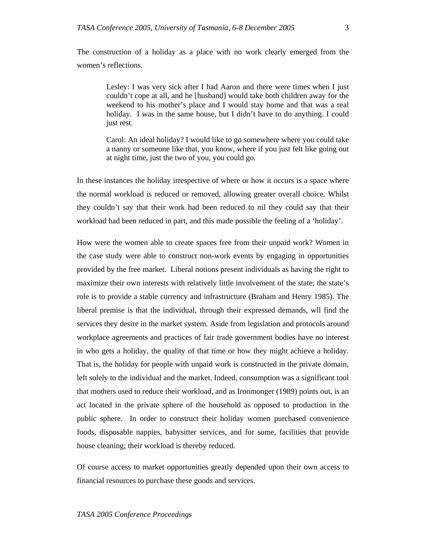The construction of a holiday as a place with no work clearly emerged from the women's reflections.

> Lesley: I was very sick after I had Aaron and there were times when I just couldn't cope at all, and he [husband] would take both children away for the weekend to his mother's place and I would stay home and that was a real holiday. I was in the same house, but I didn't have to do anything. I could just rest.

> Carol: An ideal holiday? I would like to go somewhere where you could take a nanny or someone like that, you know, where if you just felt like going out at night time, just the two of you, you could go.

In these instances the holiday irrespective of where or how it occurs is a space where the normal workload is reduced or removed, allowing greater overall choice. Whilst they couldn't say that their work had been reduced to nil they could say that their workload had been reduced in part, and this made possible the feeling of a 'holiday'.

How were the women able to create spaces free from their unpaid work? Women in the case study were able to construct non-work events by engaging in opportunities provided by the free market. Liberal notions present individuals as having the right to maximize their own interests with relatively little involvement of the state; the state's role is to provide a stable currency and infrastructure (Braham and Henry 1985). The liberal premise is that the individual, through their expressed demands, wll find the services they desire in the market system. Aside from legislation and protocols around workplace agreements and practices of fair trade government bodies have no interest in who gets a holiday, the quality of that time or how they might achieve a holiday. That is, the holiday for people with unpaid work is constructed in the private domain, left solely to the individual and the market. Indeed, consumption was a significant tool that mothers used to reduce their workload, and as Ironmonger (1989) points out, is an act located in the private sphere of the household as opposed to production in the public sphere. In order to construct their holiday women purchased convenience foods, disposable nappies, babysitter services, and for some, facilities that provide house cleaning; their workload is thereby reduced.

Of course access to market opportunities greatly depended upon their own access to financial resources to purchase these goods and services.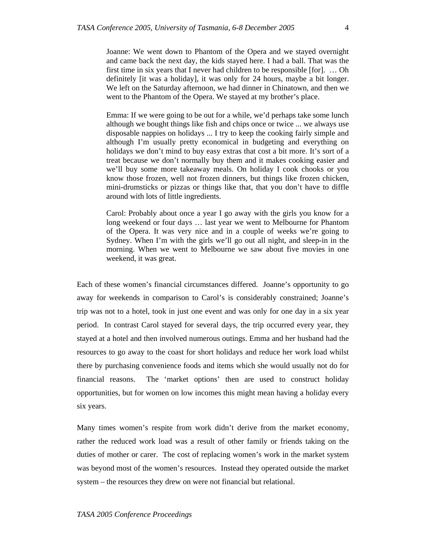Joanne: We went down to Phantom of the Opera and we stayed overnight and came back the next day, the kids stayed here. I had a ball. That was the first time in six years that I never had children to be responsible [for]. … Oh definitely [it was a holiday], it was only for 24 hours, maybe a bit longer. We left on the Saturday afternoon, we had dinner in Chinatown, and then we went to the Phantom of the Opera. We stayed at my brother's place.

Emma: If we were going to be out for a while, we'd perhaps take some lunch although we bought things like fish and chips once or twice ... we always use disposable nappies on holidays ... I try to keep the cooking fairly simple and although I'm usually pretty economical in budgeting and everything on holidays we don't mind to buy easy extras that cost a bit more. It's sort of a treat because we don't normally buy them and it makes cooking easier and we'll buy some more takeaway meals. On holiday I cook chooks or you know those frozen, well not frozen dinners, but things like frozen chicken, mini-drumsticks or pizzas or things like that, that you don't have to diffle around with lots of little ingredients.

Carol: Probably about once a year I go away with the girls you know for a long weekend or four days … last year we went to Melbourne for Phantom of the Opera. It was very nice and in a couple of weeks we're going to Sydney. When I'm with the girls we'll go out all night, and sleep-in in the morning. When we went to Melbourne we saw about five movies in one weekend, it was great.

Each of these women's financial circumstances differed. Joanne's opportunity to go away for weekends in comparison to Carol's is considerably constrained; Joanne's trip was not to a hotel, took in just one event and was only for one day in a six year period. In contrast Carol stayed for several days, the trip occurred every year, they stayed at a hotel and then involved numerous outings. Emma and her husband had the resources to go away to the coast for short holidays and reduce her work load whilst there by purchasing convenience foods and items which she would usually not do for financial reasons. The 'market options' then are used to construct holiday opportunities, but for women on low incomes this might mean having a holiday every six years.

Many times women's respite from work didn't derive from the market economy, rather the reduced work load was a result of other family or friends taking on the duties of mother or carer. The cost of replacing women's work in the market system was beyond most of the women's resources. Instead they operated outside the market system – the resources they drew on were not financial but relational.

#### *TASA 2005 Conference Proceedings*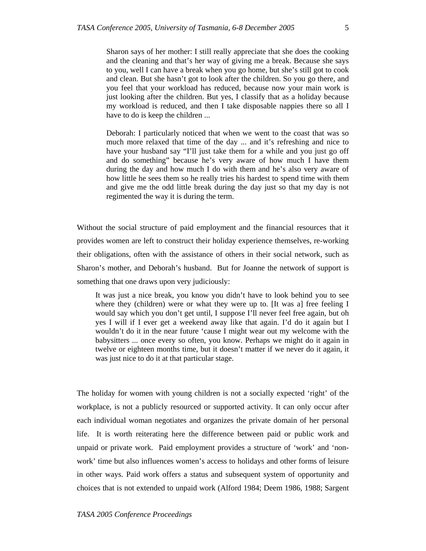Sharon says of her mother: I still really appreciate that she does the cooking and the cleaning and that's her way of giving me a break. Because she says to you, well I can have a break when you go home, but she's still got to cook and clean. But she hasn't got to look after the children. So you go there, and you feel that your workload has reduced, because now your main work is just looking after the children. But yes, I classify that as a holiday because my workload is reduced, and then I take disposable nappies there so all I have to do is keep the children ...

Deborah: I particularly noticed that when we went to the coast that was so much more relaxed that time of the day ... and it's refreshing and nice to have your husband say "I'll just take them for a while and you just go off and do something" because he's very aware of how much I have them during the day and how much I do with them and he's also very aware of how little he sees them so he really tries his hardest to spend time with them and give me the odd little break during the day just so that my day is not regimented the way it is during the term.

Without the social structure of paid employment and the financial resources that it provides women are left to construct their holiday experience themselves, re-working their obligations, often with the assistance of others in their social network, such as Sharon's mother, and Deborah's husband. But for Joanne the network of support is something that one draws upon very judiciously:

It was just a nice break, you know you didn't have to look behind you to see where they (children) were or what they were up to. [It was a] free feeling I would say which you don't get until, I suppose I'll never feel free again, but oh yes I will if I ever get a weekend away like that again. I'd do it again but I wouldn't do it in the near future 'cause I might wear out my welcome with the babysitters ... once every so often, you know. Perhaps we might do it again in twelve or eighteen months time, but it doesn't matter if we never do it again, it was just nice to do it at that particular stage.

The holiday for women with young children is not a socially expected 'right' of the workplace, is not a publicly resourced or supported activity. It can only occur after each individual woman negotiates and organizes the private domain of her personal life. It is worth reiterating here the difference between paid or public work and unpaid or private work. Paid employment provides a structure of 'work' and 'nonwork' time but also influences women's access to holidays and other forms of leisure in other ways. Paid work offers a status and subsequent system of opportunity and choices that is not extended to unpaid work (Alford 1984; Deem 1986, 1988; Sargent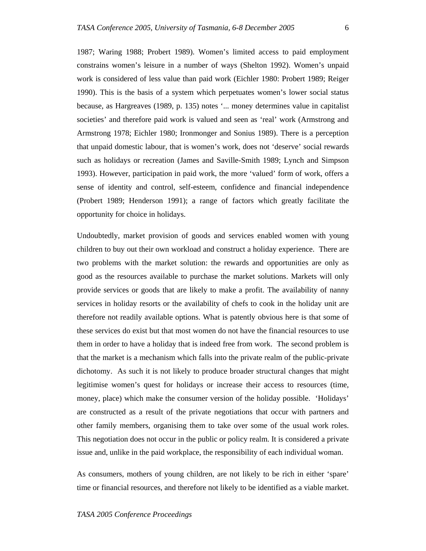1987; Waring 1988; Probert 1989). Women's limited access to paid employment constrains women's leisure in a number of ways (Shelton 1992). Women's unpaid work is considered of less value than paid work (Eichler 1980: Probert 1989; Reiger 1990). This is the basis of a system which perpetuates women's lower social status because, as Hargreaves (1989, p. 135) notes '... money determines value in capitalist societies' and therefore paid work is valued and seen as 'real' work (Armstrong and Armstrong 1978; Eichler 1980; Ironmonger and Sonius 1989). There is a perception that unpaid domestic labour, that is women's work, does not 'deserve' social rewards such as holidays or recreation (James and Saville-Smith 1989; Lynch and Simpson 1993). However, participation in paid work, the more 'valued' form of work, offers a sense of identity and control, self-esteem, confidence and financial independence (Probert 1989; Henderson 1991); a range of factors which greatly facilitate the opportunity for choice in holidays.

Undoubtedly, market provision of goods and services enabled women with young children to buy out their own workload and construct a holiday experience. There are two problems with the market solution: the rewards and opportunities are only as good as the resources available to purchase the market solutions. Markets will only provide services or goods that are likely to make a profit. The availability of nanny services in holiday resorts or the availability of chefs to cook in the holiday unit are therefore not readily available options. What is patently obvious here is that some of these services do exist but that most women do not have the financial resources to use them in order to have a holiday that is indeed free from work. The second problem is that the market is a mechanism which falls into the private realm of the public-private dichotomy. As such it is not likely to produce broader structural changes that might legitimise women's quest for holidays or increase their access to resources (time, money, place) which make the consumer version of the holiday possible. 'Holidays' are constructed as a result of the private negotiations that occur with partners and other family members, organising them to take over some of the usual work roles. This negotiation does not occur in the public or policy realm. It is considered a private issue and, unlike in the paid workplace, the responsibility of each individual woman.

As consumers, mothers of young children, are not likely to be rich in either 'spare' time or financial resources, and therefore not likely to be identified as a viable market.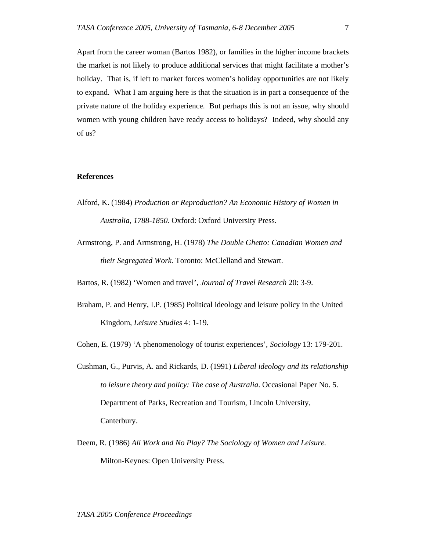Apart from the career woman (Bartos 1982), or families in the higher income brackets the market is not likely to produce additional services that might facilitate a mother's holiday. That is, if left to market forces women's holiday opportunities are not likely to expand. What I am arguing here is that the situation is in part a consequence of the private nature of the holiday experience. But perhaps this is not an issue, why should women with young children have ready access to holidays? Indeed, why should any of us?

## **References**

- Alford, K. (1984) *Production or Reproduction? An Economic History of Women in Australia, 1788-1850.* Oxford: Oxford University Press.
- Armstrong, P. and Armstrong, H. (1978) *The Double Ghetto: Canadian Women and their Segregated Work.* Toronto: McClelland and Stewart.

Bartos, R. (1982) 'Women and travel', *Journal of Travel Research* 20: 3-9.

Braham, P. and Henry, I.P. (1985) Political ideology and leisure policy in the United Kingdom, *Leisure Studies* 4: 1-19.

Cohen, E. (1979) 'A phenomenology of tourist experiences', *Sociology* 13: 179-201.

- Cushman, G., Purvis, A. and Rickards, D. (1991) *Liberal ideology and its relationship to leisure theory and policy: The case of Australia*. Occasional Paper No. 5. Department of Parks, Recreation and Tourism, Lincoln University, Canterbury.
- Deem, R. (1986) *All Work and No Play? The Sociology of Women and Leisure.* Milton-Keynes: Open University Press.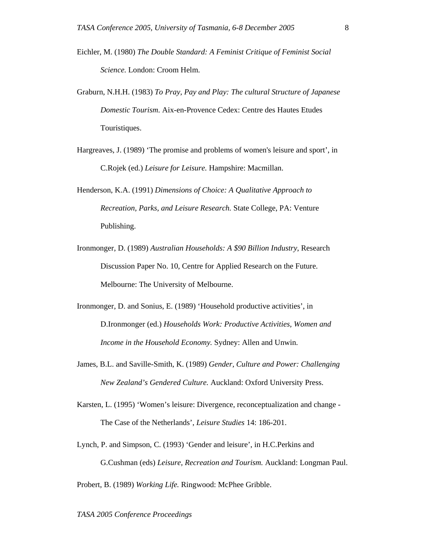- Eichler, M. (1980) *The Double Standard: A Feminist Critique of Feminist Social Science.* London: Croom Helm.
- Graburn, N.H.H. (1983) *To Pray, Pay and Play: The cultural Structure of Japanese Domestic Tourism.* Aix-en-Provence Cedex: Centre des Hautes Etudes Touristiques.
- Hargreaves, J. (1989) 'The promise and problems of women's leisure and sport', in C.Rojek (ed.) *Leisure for Leisure.* Hampshire: Macmillan.
- Henderson, K.A. (1991) *Dimensions of Choice: A Qualitative Approach to Recreation, Parks, and Leisure Research.* State College, PA: Venture Publishing.
- Ironmonger, D. (1989) *Australian Households: A \$90 Billion Industry*, Research Discussion Paper No. 10, Centre for Applied Research on the Future. Melbourne: The University of Melbourne.
- Ironmonger, D. and Sonius, E. (1989) 'Household productive activities', in D.Ironmonger (ed.) *Households Work: Productive Activities, Women and Income in the Household Economy.* Sydney: Allen and Unwin.
- James, B.L. and Saville-Smith, K. (1989) *Gender, Culture and Power: Challenging New Zealand's Gendered Culture.* Auckland: Oxford University Press.
- Karsten, L. (1995) 'Women's leisure: Divergence, reconceptualization and change The Case of the Netherlands', *Leisure Studies* 14: 186-201.
- Lynch, P. and Simpson, C. (1993) 'Gender and leisure', in H.C.Perkins and G.Cushman (eds) *Leisure, Recreation and Tourism.* Auckland: Longman Paul.

Probert, B. (1989) *Working Life.* Ringwood: McPhee Gribble.

*TASA 2005 Conference Proceedings*